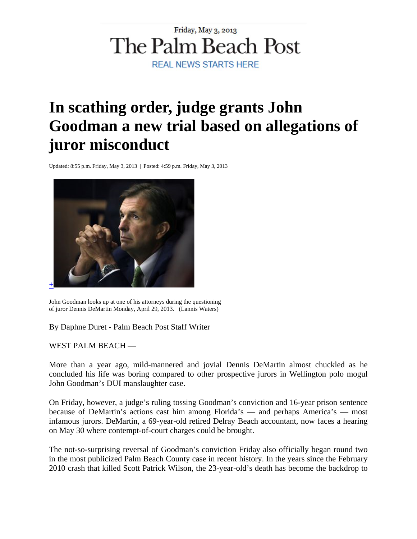## Friday, May 3, 2013 The Palm Beach Post **REAL NEWS STARTS HERE**

## **In scathing order, judge grants John Goodman a new trial based on allegations of juror misconduct**

Updated: 8:55 p.m. Friday, May 3, 2013 | Posted: 4:59 p.m. Friday, May 3, 2013



John Goodman looks up at one of his attorneys during the questioning of juror Dennis DeMartin Monday, April 29, 2013. (Lannis Waters)

By Daphne Duret - Palm Beach Post Staff Writer

WEST PALM BEACH —

More than a year ago, mild-mannered and jovial Dennis DeMartin almost chuckled as he concluded his life was boring compared to other prospective jurors in Wellington polo mogul John Goodman's DUI manslaughter case.

On Friday, however, a judge's ruling tossing Goodman's conviction and 16-year prison sentence because of DeMartin's actions cast him among Florida's — and perhaps America's — most infamous jurors. DeMartin, a 69-year-old retired Delray Beach accountant, now faces a hearing on May 30 where contempt-of-court charges could be brought.

The not-so-surprising reversal of Goodman's conviction Friday also officially began round two in the most publicized Palm Beach County case in recent history. In the years since the February 2010 crash that killed Scott Patrick Wilson, the 23-year-old's death has become the backdrop to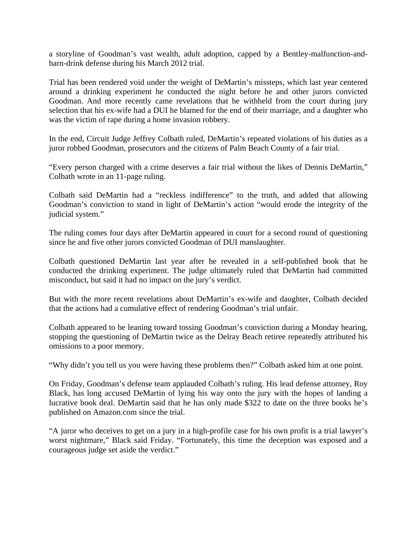a storyline of Goodman's vast wealth, adult adoption, capped by a Bentley-malfunction-andbarn-drink defense during his March 2012 trial.

Trial has been rendered void under the weight of DeMartin's missteps, which last year centered around a drinking experiment he conducted the night before he and other jurors convicted Goodman. And more recently came revelations that he withheld from the court during jury selection that his ex-wife had a DUI he blamed for the end of their marriage, and a daughter who was the victim of rape during a home invasion robbery.

In the end, Circuit Judge Jeffrey Colbath ruled, DeMartin's repeated violations of his duties as a juror robbed Goodman, prosecutors and the citizens of Palm Beach County of a fair trial.

"Every person charged with a crime deserves a fair trial without the likes of Dennis DeMartin," Colbath wrote in an 11-page ruling.

Colbath said DeMartin had a "reckless indifference" to the truth, and added that allowing Goodman's conviction to stand in light of DeMartin's action "would erode the integrity of the judicial system."

The ruling comes four days after DeMartin appeared in court for a second round of questioning since he and five other jurors convicted Goodman of DUI manslaughter.

Colbath questioned DeMartin last year after he revealed in a self-published book that he conducted the drinking experiment. The judge ultimately ruled that DeMartin had committed misconduct, but said it had no impact on the jury's verdict.

But with the more recent revelations about DeMartin's ex-wife and daughter, Colbath decided that the actions had a cumulative effect of rendering Goodman's trial unfair.

Colbath appeared to be leaning toward tossing Goodman's conviction during a Monday hearing, stopping the questioning of DeMartin twice as the Delray Beach retiree repeatedly attributed his omissions to a poor memory.

"Why didn't you tell us you were having these problems then?" Colbath asked him at one point.

On Friday, Goodman's defense team applauded Colbath's ruling. His lead defense attorney, Roy Black, has long accused DeMartin of lying his way onto the jury with the hopes of landing a lucrative book deal. DeMartin said that he has only made \$322 to date on the three books he's published on Amazon.com since the trial.

"A juror who deceives to get on a jury in a high-profile case for his own profit is a trial lawyer's worst nightmare," Black said Friday. "Fortunately, this time the deception was exposed and a courageous judge set aside the verdict."